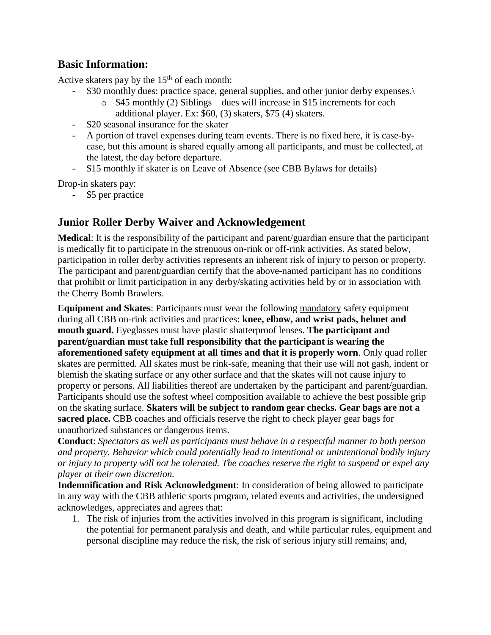## **Basic Information:**

Active skaters pay by the  $15<sup>th</sup>$  of each month:

- \$30 monthly dues: practice space, general supplies, and other junior derby expenses.
	- $\circ$  \$45 monthly (2) Siblings dues will increase in \$15 increments for each additional player. Ex: \$60, (3) skaters, \$75 (4) skaters.
- \$20 seasonal insurance for the skater
- A portion of travel expenses during team events. There is no fixed here, it is case-bycase, but this amount is shared equally among all participants, and must be collected, at the latest, the day before departure.
- \$15 monthly if skater is on Leave of Absence (see CBB Bylaws for details)

Drop-in skaters pay:

- \$5 per practice

## **Junior Roller Derby Waiver and Acknowledgement**

**Medical**: It is the responsibility of the participant and parent/guardian ensure that the participant is medically fit to participate in the strenuous on-rink or off-rink activities. As stated below, participation in roller derby activities represents an inherent risk of injury to person or property. The participant and parent/guardian certify that the above-named participant has no conditions that prohibit or limit participation in any derby/skating activities held by or in association with the Cherry Bomb Brawlers.

**Equipment and Skates**: Participants must wear the following mandatory safety equipment during all CBB on-rink activities and practices: **knee, elbow, and wrist pads, helmet and mouth guard.** Eyeglasses must have plastic shatterproof lenses. **The participant and parent/guardian must take full responsibility that the participant is wearing the aforementioned safety equipment at all times and that it is properly worn**. Only quad roller skates are permitted. All skates must be rink-safe, meaning that their use will not gash, indent or blemish the skating surface or any other surface and that the skates will not cause injury to property or persons. All liabilities thereof are undertaken by the participant and parent/guardian. Participants should use the softest wheel composition available to achieve the best possible grip on the skating surface. **Skaters will be subject to random gear checks. Gear bags are not a sacred place.** CBB coaches and officials reserve the right to check player gear bags for unauthorized substances or dangerous items.

**Conduct**: *Spectators as well as participants must behave in a respectful manner to both person and property. Behavior which could potentially lead to intentional or unintentional bodily injury or injury to property will not be tolerated. The coaches reserve the right to suspend or expel any player at their own discretion.*

**Indemnification and Risk Acknowledgment**: In consideration of being allowed to participate in any way with the CBB athletic sports program, related events and activities, the undersigned acknowledges, appreciates and agrees that:

1. The risk of injuries from the activities involved in this program is significant, including the potential for permanent paralysis and death, and while particular rules, equipment and personal discipline may reduce the risk, the risk of serious injury still remains; and,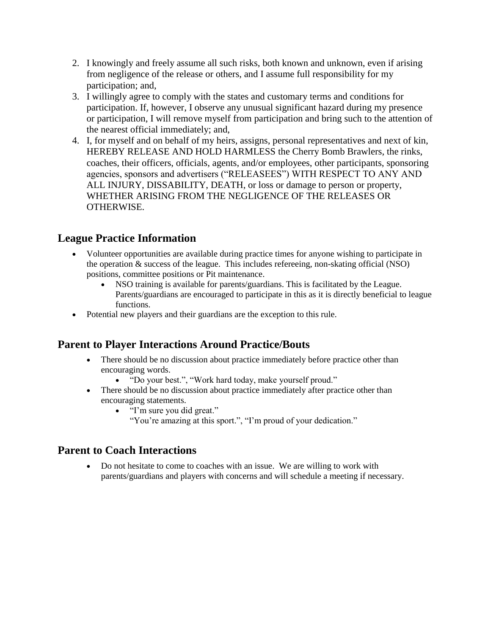- 2. I knowingly and freely assume all such risks, both known and unknown, even if arising from negligence of the release or others, and I assume full responsibility for my participation; and,
- 3. I willingly agree to comply with the states and customary terms and conditions for participation. If, however, I observe any unusual significant hazard during my presence or participation, I will remove myself from participation and bring such to the attention of the nearest official immediately; and,
- 4. I, for myself and on behalf of my heirs, assigns, personal representatives and next of kin, HEREBY RELEASE AND HOLD HARMLESS the Cherry Bomb Brawlers, the rinks, coaches, their officers, officials, agents, and/or employees, other participants, sponsoring agencies, sponsors and advertisers ("RELEASEES") WITH RESPECT TO ANY AND ALL INJURY, DISSABILITY, DEATH, or loss or damage to person or property, WHETHER ARISING FROM THE NEGLIGENCE OF THE RELEASES OR OTHERWISE.

## **League Practice Information**

- Volunteer opportunities are available during practice times for anyone wishing to participate in the operation & success of the league. This includes refereeing, non-skating official (NSO) positions, committee positions or Pit maintenance.
	- NSO training is available for parents/guardians. This is facilitated by the League. Parents/guardians are encouraged to participate in this as it is directly beneficial to league functions.
- Potential new players and their guardians are the exception to this rule.

## **Parent to Player Interactions Around Practice/Bouts**

- There should be no discussion about practice immediately before practice other than encouraging words.
	- "Do your best.", "Work hard today, make yourself proud."
- There should be no discussion about practice immediately after practice other than encouraging statements.
	- "I'm sure you did great."
		- "You're amazing at this sport.", "I'm proud of your dedication."

## **Parent to Coach Interactions**

 Do not hesitate to come to coaches with an issue. We are willing to work with parents/guardians and players with concerns and will schedule a meeting if necessary.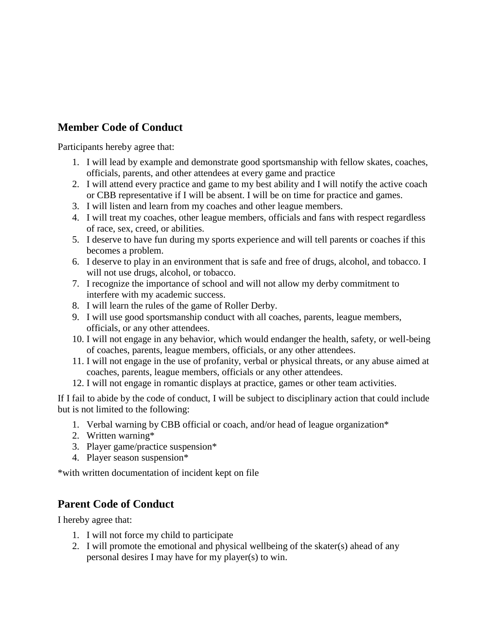# **Member Code of Conduct**

Participants hereby agree that:

- 1. I will lead by example and demonstrate good sportsmanship with fellow skates, coaches, officials, parents, and other attendees at every game and practice
- 2. I will attend every practice and game to my best ability and I will notify the active coach or CBB representative if I will be absent. I will be on time for practice and games.
- 3. I will listen and learn from my coaches and other league members.
- 4. I will treat my coaches, other league members, officials and fans with respect regardless of race, sex, creed, or abilities.
- 5. I deserve to have fun during my sports experience and will tell parents or coaches if this becomes a problem.
- 6. I deserve to play in an environment that is safe and free of drugs, alcohol, and tobacco. I will not use drugs, alcohol, or tobacco.
- 7. I recognize the importance of school and will not allow my derby commitment to interfere with my academic success.
- 8. I will learn the rules of the game of Roller Derby.
- 9. I will use good sportsmanship conduct with all coaches, parents, league members, officials, or any other attendees.
- 10. I will not engage in any behavior, which would endanger the health, safety, or well-being of coaches, parents, league members, officials, or any other attendees.
- 11. I will not engage in the use of profanity, verbal or physical threats, or any abuse aimed at coaches, parents, league members, officials or any other attendees.
- 12. I will not engage in romantic displays at practice, games or other team activities.

If I fail to abide by the code of conduct, I will be subject to disciplinary action that could include but is not limited to the following:

- 1. Verbal warning by CBB official or coach, and/or head of league organization\*
- 2. Written warning\*
- 3. Player game/practice suspension\*
- 4. Player season suspension\*

\*with written documentation of incident kept on file

## **Parent Code of Conduct**

I hereby agree that:

- 1. I will not force my child to participate
- 2. I will promote the emotional and physical wellbeing of the skater(s) ahead of any personal desires I may have for my player(s) to win.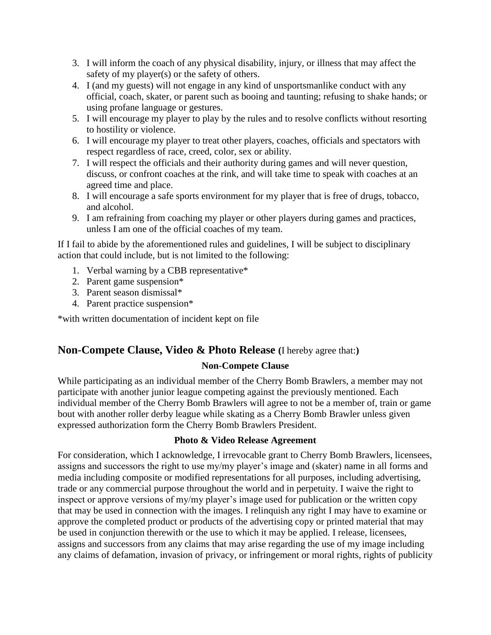- 3. I will inform the coach of any physical disability, injury, or illness that may affect the safety of my player(s) or the safety of others.
- 4. I (and my guests) will not engage in any kind of unsportsmanlike conduct with any official, coach, skater, or parent such as booing and taunting; refusing to shake hands; or using profane language or gestures.
- 5. I will encourage my player to play by the rules and to resolve conflicts without resorting to hostility or violence.
- 6. I will encourage my player to treat other players, coaches, officials and spectators with respect regardless of race, creed, color, sex or ability.
- 7. I will respect the officials and their authority during games and will never question, discuss, or confront coaches at the rink, and will take time to speak with coaches at an agreed time and place.
- 8. I will encourage a safe sports environment for my player that is free of drugs, tobacco, and alcohol.
- 9. I am refraining from coaching my player or other players during games and practices, unless I am one of the official coaches of my team.

If I fail to abide by the aforementioned rules and guidelines, I will be subject to disciplinary action that could include, but is not limited to the following:

- 1. Verbal warning by a CBB representative\*
- 2. Parent game suspension\*
- 3. Parent season dismissal\*
- 4. Parent practice suspension\*

\*with written documentation of incident kept on file

## **Non-Compete Clause, Video & Photo Release (**I hereby agree that:**)**

### **Non-Compete Clause**

While participating as an individual member of the Cherry Bomb Brawlers, a member may not participate with another junior league competing against the previously mentioned. Each individual member of the Cherry Bomb Brawlers will agree to not be a member of, train or game bout with another roller derby league while skating as a Cherry Bomb Brawler unless given expressed authorization form the Cherry Bomb Brawlers President.

#### **Photo & Video Release Agreement**

For consideration, which I acknowledge, I irrevocable grant to Cherry Bomb Brawlers, licensees, assigns and successors the right to use my/my player's image and (skater) name in all forms and media including composite or modified representations for all purposes, including advertising, trade or any commercial purpose throughout the world and in perpetuity. I waive the right to inspect or approve versions of my/my player's image used for publication or the written copy that may be used in connection with the images. I relinquish any right I may have to examine or approve the completed product or products of the advertising copy or printed material that may be used in conjunction therewith or the use to which it may be applied. I release, licensees, assigns and successors from any claims that may arise regarding the use of my image including any claims of defamation, invasion of privacy, or infringement or moral rights, rights of publicity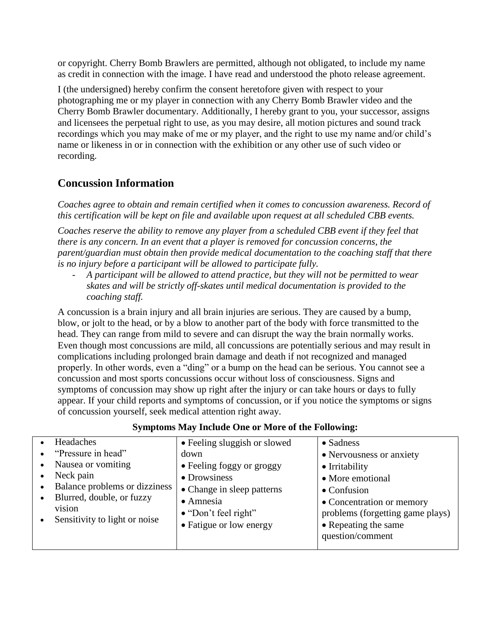or copyright. Cherry Bomb Brawlers are permitted, although not obligated, to include my name as credit in connection with the image. I have read and understood the photo release agreement.

I (the undersigned) hereby confirm the consent heretofore given with respect to your photographing me or my player in connection with any Cherry Bomb Brawler video and the Cherry Bomb Brawler documentary. Additionally, I hereby grant to you, your successor, assigns and licensees the perpetual right to use, as you may desire, all motion pictures and sound track recordings which you may make of me or my player, and the right to use my name and/or child's name or likeness in or in connection with the exhibition or any other use of such video or recording.

# **Concussion Information**

*Coaches agree to obtain and remain certified when it comes to concussion awareness. Record of this certification will be kept on file and available upon request at all scheduled CBB events.*

*Coaches reserve the ability to remove any player from a scheduled CBB event if they feel that there is any concern. In an event that a player is removed for concussion concerns, the parent/guardian must obtain then provide medical documentation to the coaching staff that there is no injury before a participant will be allowed to participate fully.*

- *A participant will be allowed to attend practice, but they will not be permitted to wear skates and will be strictly off-skates until medical documentation is provided to the coaching staff.*

A concussion is a brain injury and all brain injuries are serious. They are caused by a bump, blow, or jolt to the head, or by a blow to another part of the body with force transmitted to the head. They can range from mild to severe and can disrupt the way the brain normally works. Even though most concussions are mild, all concussions are potentially serious and may result in complications including prolonged brain damage and death if not recognized and managed properly. In other words, even a "ding" or a bump on the head can be serious. You cannot see a concussion and most sports concussions occur without loss of consciousness. Signs and symptoms of concussion may show up right after the injury or can take hours or days to fully appear. If your child reports and symptoms of concussion, or if you notice the symptoms or signs of concussion yourself, seek medical attention right away.

### **Symptoms May Include One or More of the Following:**

|           | Headaches                     | • Feeling sluggish or slowed | $\bullet$ Sadness                |
|-----------|-------------------------------|------------------------------|----------------------------------|
|           | "Pressure in head"            | down                         | • Nervousness or anxiety         |
|           | Nausea or vomiting            | • Feeling foggy or groggy    | • Irritability                   |
|           | Neck pain                     | • Drowsiness                 | • More emotional                 |
|           | Balance problems or dizziness | • Change in sleep patterns   | $\bullet$ Confusion              |
| $\bullet$ | Blurred, double, or fuzzy     | • Amnesia                    | • Concentration or memory        |
|           | vision                        | $\bullet$ "Don't feel right" | problems (forgetting game plays) |
|           | Sensitivity to light or noise | • Fatigue or low energy      | • Repeating the same             |
|           |                               |                              | question/comment                 |
|           |                               |                              |                                  |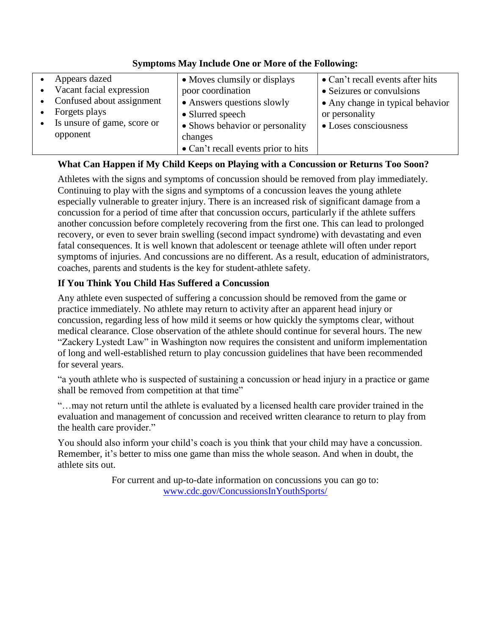|           | Appears dazed               | • Moves clumsily or displays        | • Can't recall events after hits |
|-----------|-----------------------------|-------------------------------------|----------------------------------|
| $\bullet$ | Vacant facial expression    | poor coordination                   | • Seizures or convulsions        |
|           | Confused about assignment   | • Answers questions slowly          | • Any change in typical behavior |
|           | Forgets plays               | • Slurred speech                    | or personality                   |
| $\bullet$ | Is unsure of game, score or | • Shows behavior or personality     | • Loses consciousness            |
|           | opponent                    | changes                             |                                  |
|           |                             | • Can't recall events prior to hits |                                  |

#### **Symptoms May Include One or More of the Following:**

#### **What Can Happen if My Child Keeps on Playing with a Concussion or Returns Too Soon?**

Athletes with the signs and symptoms of concussion should be removed from play immediately. Continuing to play with the signs and symptoms of a concussion leaves the young athlete especially vulnerable to greater injury. There is an increased risk of significant damage from a concussion for a period of time after that concussion occurs, particularly if the athlete suffers another concussion before completely recovering from the first one. This can lead to prolonged recovery, or even to sever brain swelling (second impact syndrome) with devastating and even fatal consequences. It is well known that adolescent or teenage athlete will often under report symptoms of injuries. And concussions are no different. As a result, education of administrators, coaches, parents and students is the key for student-athlete safety.

### **If You Think You Child Has Suffered a Concussion**

Any athlete even suspected of suffering a concussion should be removed from the game or practice immediately. No athlete may return to activity after an apparent head injury or concussion, regarding less of how mild it seems or how quickly the symptoms clear, without medical clearance. Close observation of the athlete should continue for several hours. The new "Zackery Lystedt Law" in Washington now requires the consistent and uniform implementation of long and well-established return to play concussion guidelines that have been recommended for several years.

"a youth athlete who is suspected of sustaining a concussion or head injury in a practice or game shall be removed from competition at that time"

"…may not return until the athlete is evaluated by a licensed health care provider trained in the evaluation and management of concussion and received written clearance to return to play from the health care provider."

You should also inform your child's coach is you think that your child may have a concussion. Remember, it's better to miss one game than miss the whole season. And when in doubt, the athlete sits out.

> For current and up-to-date information on concussions you can go to: [www.cdc.gov/ConcussionsInYouthSports/](http://www.cdc.gov/ConcussionsInYouthSports/)